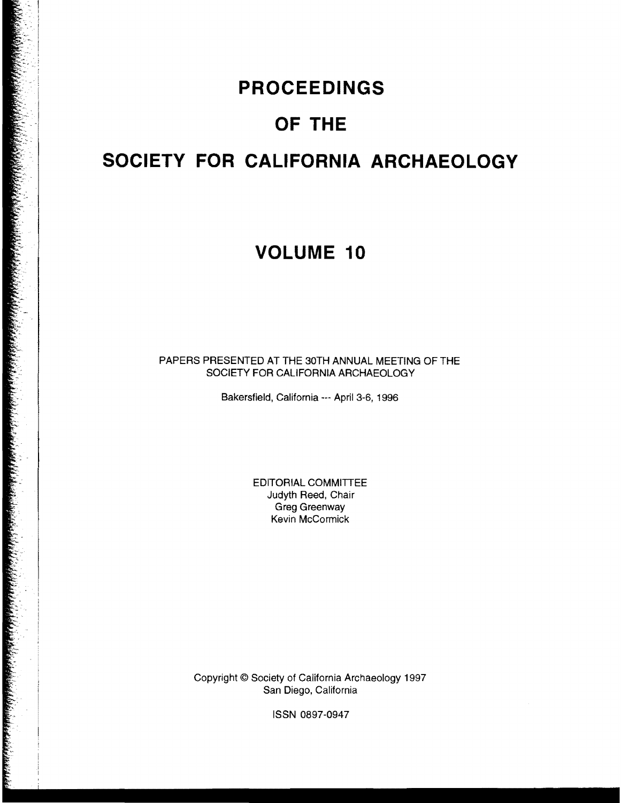## **PROCEEDINGS**

# **OF THE**

# **SOCIETY FOR CALIFORNIA ARCHAEOLOGY**

## **VOLUME 10**

PAPERS PRESENTED AT THE 30TH ANNUAL MEETING OF THE SOCIETY FOR CALIFORNIA ARCHAEOLOGY

Bakersfield, California --- April 3-6, 1996

EDITORIAL COMMITTEE Judyth Reed, Chair Greg Greenway Kevin McCormick

Copyright © Society of California Archaeology 1997 San Diego, California

ISSN 0897-0947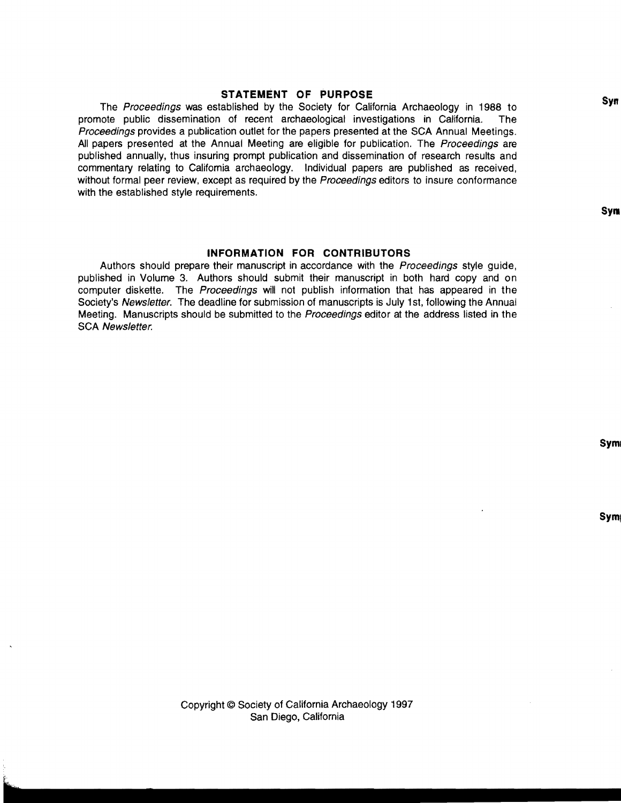#### **STATEMENT OF PURPOSE**

The Proceedings was established by the Society for California Archaeology in 1988 to promote public dissemination of recent archaeological investigations in California. The Proceedings provides a publication outlet for the papers presented at the SCA Annual Meetings. **All** papers presented at the Annual Meeting are eligible for publication. The Proceedings are published annually, thus insuring prompt publication and dissemination of research results and commentary relating to Califomia archaeology. Individual papers are published as received, without formal peer review, except as required by the Proceedings editors to insure conformance with the established style requirements.

#### **INFORMATION FOR CONTRIBUTORS**

Authors should prepare their manuscript in accordance with the *Proceedings* style guide, published in Volume 3. Authors should submit their manuscript in both hard copy and on computer diskette. The Proceedings will not publish information that has appeared in the Society's Newsletter. The deadline for submission of manuscripts is July 1st, following the Annual Meeting. Manuscripts should be submitted to the Proceedings editor at the address listed in the SCA Newsletter.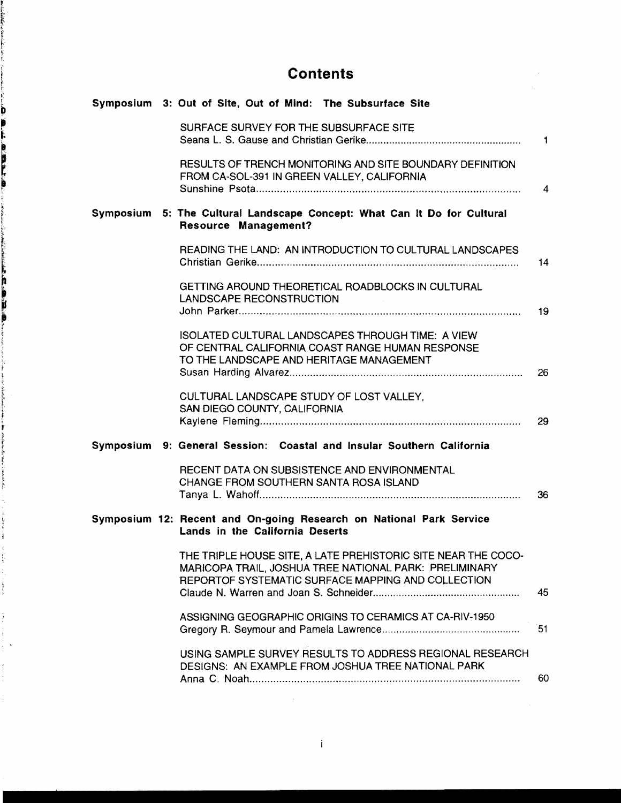### **Contents**

 $\mathcal{L}^{\text{max}}_{\text{max}}$  and  $\mathcal{L}^{\text{max}}_{\text{max}}$ 

 $\sim 10$ 

|  | Symposium 3: Out of Site, Out of Mind: The Subsurface Site                                                                                                                    |                |
|--|-------------------------------------------------------------------------------------------------------------------------------------------------------------------------------|----------------|
|  | SURFACE SURVEY FOR THE SUBSURFACE SITE                                                                                                                                        | $\blacksquare$ |
|  | RESULTS OF TRENCH MONITORING AND SITE BOUNDARY DEFINITION<br>FROM CA-SOL-391 IN GREEN VALLEY, CALIFORNIA                                                                      | $\overline{4}$ |
|  | Symposium 5: The Cultural Landscape Concept: What Can It Do for Cultural<br><b>Resource Management?</b>                                                                       |                |
|  | READING THE LAND: AN INTRODUCTION TO CULTURAL LANDSCAPES                                                                                                                      | 14             |
|  | GETTING AROUND THEORETICAL ROADBLOCKS IN CULTURAL<br><b>LANDSCAPE RECONSTRUCTION</b>                                                                                          | 19             |
|  | ISOLATED CULTURAL LANDSCAPES THROUGH TIME: A VIEW<br>OF CENTRAL CALIFORNIA COAST RANGE HUMAN RESPONSE<br>TO THE LANDSCAPE AND HERITAGE MANAGEMENT                             | 26             |
|  | CULTURAL LANDSCAPE STUDY OF LOST VALLEY,<br>SAN DIEGO COUNTY, CALIFORNIA                                                                                                      | 29             |
|  | Symposium 9: General Session: Coastal and Insular Southern California                                                                                                         |                |
|  | RECENT DATA ON SUBSISTENCE AND ENVIRONMENTAL<br>CHANGE FROM SOUTHERN SANTA ROSA ISLAND                                                                                        | 36             |
|  | Symposium 12: Recent and On-going Research on National Park Service<br>Lands in the California Deserts                                                                        |                |
|  | THE TRIPLE HOUSE SITE, A LATE PREHISTORIC SITE NEAR THE COCO-<br>MARICOPA TRAIL, JOSHUA TREE NATIONAL PARK: PRELIMINARY<br>REPORTOF SYSTEMATIC SURFACE MAPPING AND COLLECTION | 45             |
|  | ASSIGNING GEOGRAPHIC ORIGINS TO CERAMICS AT CA-RIV-1950                                                                                                                       | 51             |
|  | USING SAMPLE SURVEY RESULTS TO ADDRESS REGIONAL RESEARCH<br>DESIGNS: AN EXAMPLE FROM JOSHUA TREE NATIONAL PARK                                                                | 60             |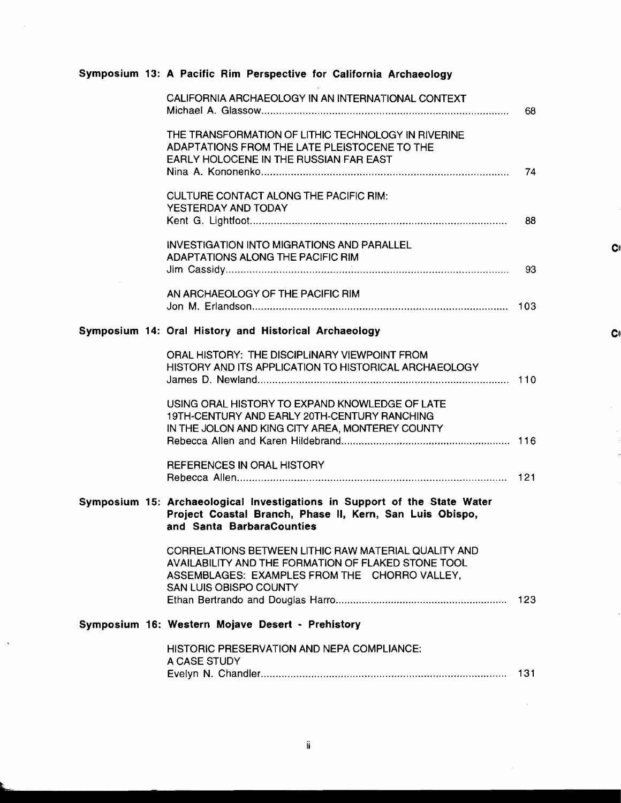### Symposium 13: A Pacific Rim Perspective for California Archaeology

|  | CALIFORNIA ARCHAEOLOGY IN AN INTERNATIONAL CONTEXT                                                                                                                                     | 68  |
|--|----------------------------------------------------------------------------------------------------------------------------------------------------------------------------------------|-----|
|  | THE TRANSFORMATION OF LITHIC TECHNOLOGY IN RIVERINE<br>ADAPTATIONS FROM THE LATE PLEISTOCENE TO THE<br>EARLY HOLOCENE IN THE RUSSIAN FAR EAST                                          | 74  |
|  | <b>CULTURE CONTACT ALONG THE PACIFIC RIM:</b><br>YESTERDAY AND TODAY                                                                                                                   | 88  |
|  | <b>INVESTIGATION INTO MIGRATIONS AND PARALLEL</b><br>ADAPTATIONS ALONG THE PACIFIC RIM                                                                                                 | 93  |
|  | AN ARCHAEOLOGY OF THE PACIFIC RIM                                                                                                                                                      |     |
|  | Symposium 14: Oral History and Historical Archaeology                                                                                                                                  |     |
|  | ORAL HISTORY: THE DISCIPLINARY VIEWPOINT FROM<br>HISTORY AND ITS APPLICATION TO HISTORICAL ARCHAEOLOGY                                                                                 |     |
|  | USING ORAL HISTORY TO EXPAND KNOWLEDGE OF LATE<br>19TH-CENTURY AND EARLY 20TH-CENTURY RANCHING<br>IN THE JOLON AND KING CITY AREA, MONTEREY COUNTY                                     |     |
|  | REFERENCES IN ORAL HISTORY                                                                                                                                                             |     |
|  | Symposium 15: Archaeological Investigations in Support of the State Water<br>Project Coastal Branch, Phase II, Kern, San Luis Obispo,<br>and Santa BarbaraCounties                     |     |
|  | CORRELATIONS BETWEEN LITHIC RAW MATERIAL QUALITY AND<br>AVAILABILITY AND THE FORMATION OF FLAKED STONE TOOL<br>ASSEMBLAGES: EXAMPLES FROM THE CHORRO VALLEY,<br>SAN LUIS OBISPO COUNTY | 123 |
|  | Symposium 16: Western Mojave Desert - Prehistory                                                                                                                                       |     |
|  | <b>HISTORIC PRESERVATION AND NEPA COMPLIANCE:</b><br>A CASE STUDY                                                                                                                      | 131 |
|  |                                                                                                                                                                                        |     |

 $\bar{z}$ 

 $\hat{\mathcal{A}}$